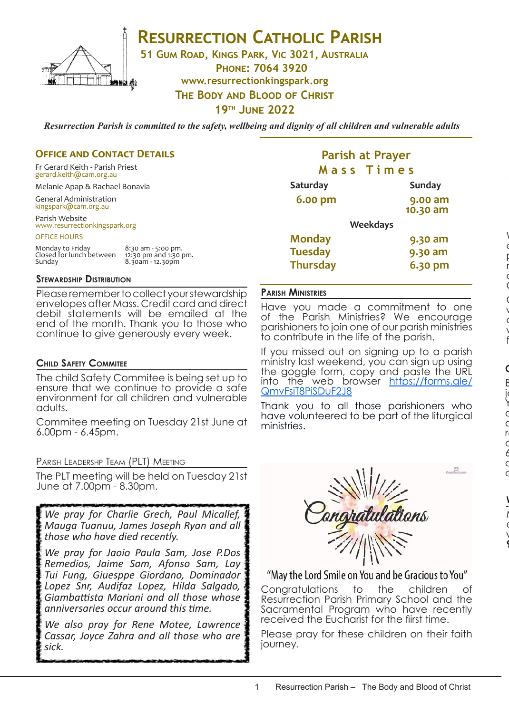

## **RESURRECTION CATHOLIC PARISH**

**51 Gum Road, Kings Park, Vic 3021, Australia**

**Phone: 7064 3920 www.resurrectionkingspark.org The Body and Blood of Christ**

**19th June 2022**

*Resurrection Parish is committed to the safety, wellbeing and dignity of all children and vulnerable adults*

### **OFFICE AND CONTACT DETAILS**

Fr Gerard Keith - Parish Priest gerard.keith@cam.org.au

Melanie Apap & Rachael Bonavia

General Administration kingspark@cam.org.au

Parish Website www.resurrectionkingspark.org

OFFICE HOURS

| Monday to Friday         | 8:30 am - 5:00 pm.    |
|--------------------------|-----------------------|
| Closed for lunch between | 12:30 pm and 1:30 pm. |
| Sunday                   | 8.30am - 12.30pm      |

### **Stewardship Distribution**

Please remember to collect your stewardship envelopes after Mass. Credit card and direct debit statements will be emailed at the end of the month. Thank you to those who continue to give generously every week.

### **Child Safety Commitee**

The child Safety Commitee is being set up to ensure that we continue to provide a safe environment for all children and vulnerable adults.

Commitee meeting on Tuesday 21st June at 6.00pm - 6.45pm.

Parish Leadershp Team (PLT) Meeting

The PLT meeting will be held on Tuesday 21st June at 7.00pm - 8.30pm.

*We pray for Charlie Grech, Paul Micallef, Mauga Tuanuu, James Joseph Ryan and all those who have died recently.* 

*We pray for Jaoio Paula Sam, Jose P.Dos Remedios, Jaime Sam, Afonso Sam, Lay Tui Fung, Giuesppe Giordano, Dominador Lopez Snr, Audifaz Lopez, Hilda Salgado, Giambattista Mariani and all those whose anniversaries occur around this time.* 

*We also pray for Rene Motee, Lawrence Cassar, Joyce Zahra and all those who are sick.* 

### **Parish at Prayer M a s s T i m e s**

| <b>Saturday</b> |                 | <b>Sunday</b> |
|-----------------|-----------------|---------------|
| <b>6.00 pm</b>  |                 | 9.00 am       |
|                 |                 | 10.30 am      |
|                 | <b>Weekdays</b> |               |
| <b>Monday</b>   |                 | 9.30 am       |
| <b>Tuesday</b>  |                 | 9.30 am       |
| <b>Thursday</b> |                 | 6.30 pm       |

### **Parish Ministries**

Have you made a commitment to one of the Parish Ministries? We encourage parishioners to join one of our parish ministries to contribute in the life of the parish.

If you missed out on signing up to a parish ministry last weekend, you can sign up using the goggle form, copy and paste the URL into the web browser https://forms.gle/ QmvFsiT8PiSDuF2J8

Thank you to all those parishioners who have volunteered to be part of the liturgical ministries.



### "May the Lord Smile on You and be Gracious to You"

Congratulations to the children of Resurrection Parish Primary School and the Sacramental Program who have recently received the Eucharist for the fiirst time.

Please pray for these children on their faith journey.

**9th July 2022.**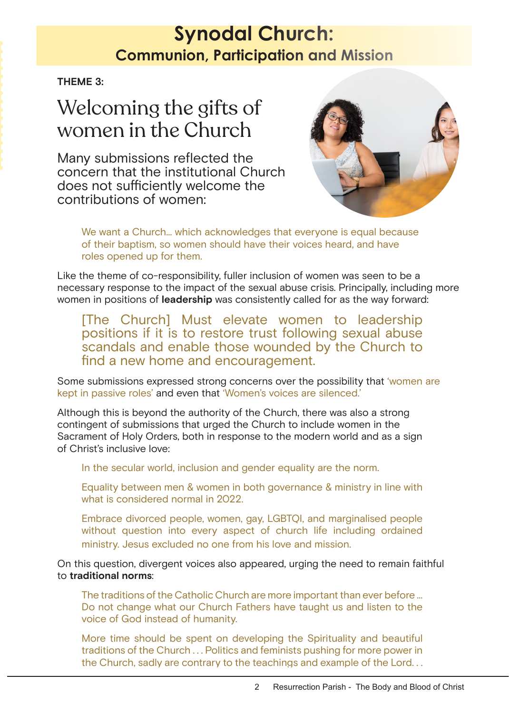## **Synodal Church: Communion Church: Communion Church: Communion Church: Communion, Participation and Mission**

**THEME 3:**

# Welcoming the gifts of women in the Church

Many submissions reflected the concern that the institutional Church does not sufficiently welcome the contributions of women:



We want a Church… which acknowledges that everyone is equal because of their baptism, so women should have their voices heard, and have roles opened up for them.

Like the theme of co-responsibility, fuller inclusion of women was seen to be a necessary response to the impact of the sexual abuse crisis. Principally, including more women in positions of **leadership** was consistently called for as the way forward:

[The Church] Must elevate women to leadership positions if it is to restore trust following sexual abuse scandals and enable those wounded by the Church to find a new home and encouragement.

Some submissions expressed strong concerns over the possibility that 'women are kept in passive roles' and even that 'Women's voices are silenced.'

Although this is beyond the authority of the Church, there was also a strong contingent of submissions that urged the Church to include women in the Sacrament of Holy Orders, both in response to the modern world and as a sign of Christ's inclusive love:

In the secular world, inclusion and gender equality are the norm.

Equality between men & women in both governance & ministry in line with what is considered normal in 2022.

Embrace divorced people, women, gay, LGBTQI, and marginalised people without question into every aspect of church life including ordained ministry. Jesus excluded no one from his love and mission.

On this question, divergent voices also appeared, urging the need to remain faithful to **traditional norms**:

The traditions of the Catholic Church are more important than ever before ... Do not change what our Church Fathers have taught us and listen to the voice of God instead of humanity.

More time should be spent on developing the Spirituality and beautiful traditions of the Church . . . Politics and feminists pushing for more power in the Church, sadly are contrary to the teachings and example of the Lord. . .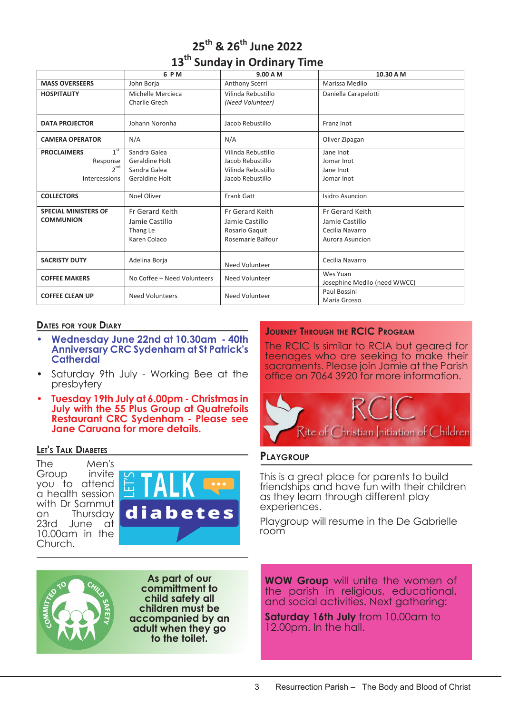|  |  | 25 <sup>th</sup> & 26 <sup>th</sup> June 2022 |  |
|--|--|-----------------------------------------------|--|
|  |  | 13 <sup>th</sup> Sunday in Ordinary Time      |  |

|                                    | 6 P M                       | 9.00 A M           | 10.30 A M                                |
|------------------------------------|-----------------------------|--------------------|------------------------------------------|
| <b>MASS OVERSEERS</b>              | John Borja                  | Anthony Scerri     | Marissa Medilo                           |
| <b>HOSPITALITY</b>                 | Michelle Mercieca           | Vilinda Rebustillo | Daniella Carapelotti                     |
|                                    | Charlie Grech               | (Need Volunteer)   |                                          |
| <b>DATA PROJECTOR</b>              | Johann Noronha              | Jacob Rebustillo   | Franz Inot                               |
| <b>CAMERA OPERATOR</b>             | N/A                         | N/A                | Oliver Zipagan                           |
| $1^{\rm st}$<br><b>PROCLAIMERS</b> | Sandra Galea                | Vilinda Rebustillo | Jane Inot                                |
| Response                           | Geraldine Holt              | Jacob Rebustillo   | Jomar Inot                               |
| $2^{nd}$                           | Sandra Galea                | Vilinda Rebustillo | Jane Inot                                |
| Intercessions                      | Geraldine Holt              | Jacob Rebustillo   | Jomar Inot                               |
|                                    |                             |                    |                                          |
| <b>COLLECTORS</b>                  | Noel Oliver                 | Frank Gatt         | Isidro Asuncion                          |
| <b>SPECIAL MINISTERS OF</b>        | Fr Gerard Keith             | Fr Gerard Keith    | Fr Gerard Keith                          |
| <b>COMMUNION</b>                   | Jamie Castillo              | Jamie Castillo     | Jamie Castillo                           |
|                                    | Thang Le                    | Rosario Gaquit     | Cecilia Navarro                          |
|                                    | Karen Colaco                | Rosemarie Balfour  | Aurora Asuncion                          |
|                                    |                             |                    |                                          |
| <b>SACRISTY DUTY</b>               | Adelina Borja               | Need Volunteer     | Cecilia Navarro                          |
| <b>COFFEE MAKERS</b>               | No Coffee - Need Volunteers | Need Volunteer     | Wes Yuan<br>Josephine Medilo (need WWCC) |
| <b>COFFEE CLEAN UP</b>             | <b>Need Volunteers</b>      | Need Volunteer     | Paul Bossini<br>Maria Grosso             |

### **Dates for your Diary**

- **• Wednesday June 22nd at 10.30am 40th Anniversary CRC Sydenham at St Patrick's Catherdal**
- Saturday 9th July Working Bee at the presbytery
- **• Tuesday 19th July at 6.00pm Christmas in July with the 55 Plus Group at Quatrefoils Restaurant CRC Sydenham - Please see Jane Caruana for more details.**

#### **Let's Talk Diabetes**

The Men's<br>Group invite Group you to attend a health session with Dr Sammut on Thursday<br>23rd June at June at 10.00am in the Church.





**As part of our committment to child safety all children must be accompanied by an adult when they go to the toilet.**

### **Journey Through the RCIC Program**

The RCIC Is similar to RCIA but geared for teenages who are seeking to make their sacraments. Please join Jamie at the Parish office on 7064 3920 for more information.



#### **Playgroup**

This is a great place for parents to build friendships and have fun with their children as they learn through different play experiences.

Playgroup will resume in the De Gabrielle room

**WOW Group** will unite the women of the parish in religious, educational, and social activities. Next gathering:

**Saturday 16th July** from 10.00am to 12.00pm. In the hall.